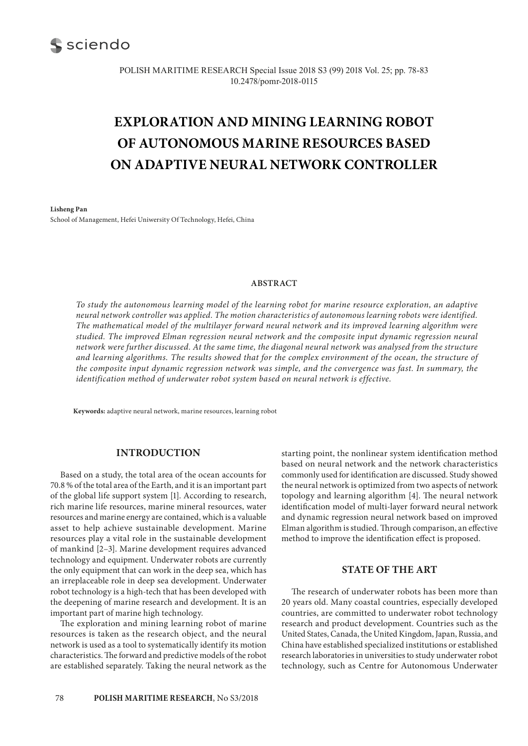

POLISH MARITIME RESEARCH Special Issue 2018 S3 (99) 2018 Vol. 25; pp. 78-83 10.2478/pomr-2018-0115

# **EXPLORATION AND MINING LEARNING ROBOT OF AUTONOMOUS MARINE RESOURCES BASED ON ADAPTIVE NEURAL NETWORK CONTROLLER**

**Lisheng Pan** School of Management, Hefei Uniwersity Of Technology, Hefei, China

#### **ABSTRACT**

*To study the autonomous learning model of the learning robot for marine resource exploration, an adaptive neural network controller was applied. The motion characteristics of autonomous learning robots were identified. The mathematical model of the multilayer forward neural network and its improved learning algorithm were studied. The improved Elman regression neural network and the composite input dynamic regression neural network were further discussed. At the same time, the diagonal neural network was analysed from the structure and learning algorithms. The results showed that for the complex environment of the ocean, the structure of the composite input dynamic regression network was simple, and the convergence was fast. In summary, the identification method of underwater robot system based on neural network is effective.*

**Keywords:** adaptive neural network, marine resources, learning robot

# **INTRODUCTION**

Based on a study, the total area of the ocean accounts for 70.8 % of the total area of the Earth, and it is an important part of the global life support system [1]. According to research, rich marine life resources, marine mineral resources, water resources and marine energy are contained, which is a valuable asset to help achieve sustainable development. Marine resources play a vital role in the sustainable development of mankind [2–3]. Marine development requires advanced technology and equipment. Underwater robots are currently the only equipment that can work in the deep sea, which has an irreplaceable role in deep sea development. Underwater robot technology is a high-tech that has been developed with the deepening of marine research and development. It is an important part of marine high technology.

The exploration and mining learning robot of marine resources is taken as the research object, and the neural network is used as a tool to systematically identify its motion characteristics. The forward and predictive models of the robot are established separately. Taking the neural network as the starting point, the nonlinear system identification method based on neural network and the network characteristics commonly used for identification are discussed. Study showed the neural network is optimized from two aspects of network topology and learning algorithm [4]. The neural network identification model of multi-layer forward neural network and dynamic regression neural network based on improved Elman algorithm is studied. Through comparison, an effective method to improve the identification effect is proposed.

## **STATE OF THE ART**

The research of underwater robots has been more than 20 years old. Many coastal countries, especially developed countries, are committed to underwater robot technology research and product development. Countries such as the United States, Canada, the United Kingdom, Japan, Russia, and China have established specialized institutions or established research laboratories in universities to study underwater robot technology, such as Centre for Autonomous Underwater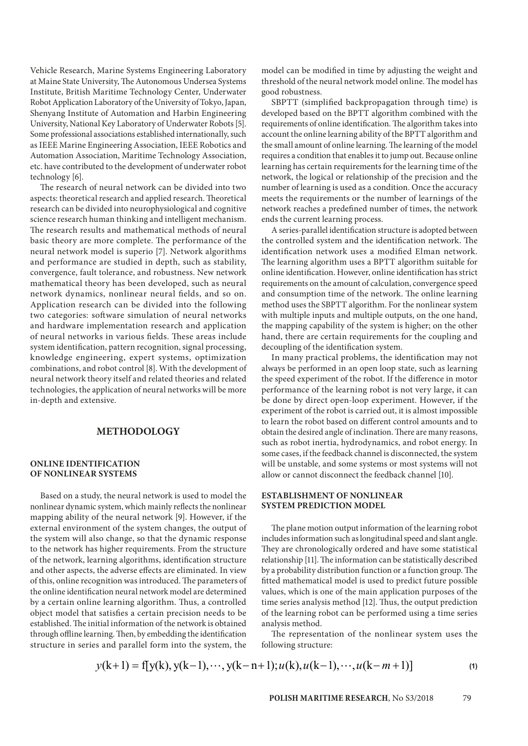Vehicle Research, Marine Systems Engineering Laboratory at Maine State University, The Autonomous Undersea Systems Institute, British Maritime Technology Center, Underwater Robot Application Laboratory of the University of Tokyo, Japan, Shenyang Institute of Automation and Harbin Engineering University, National Key Laboratory of Underwater Robots [5]. Some professional associations established internationally, such as IEEE Marine Engineering Association, IEEE Robotics and Automation Association, Maritime Technology Association, etc. have contributed to the development of underwater robot technology [6].

The research of neural network can be divided into two aspects: theoretical research and applied research. Theoretical research can be divided into neurophysiological and cognitive science research human thinking and intelligent mechanism. The research results and mathematical methods of neural basic theory are more complete. The performance of the neural network model is superio [7]. Network algorithms and performance are studied in depth, such as stability, convergence, fault tolerance, and robustness. New network mathematical theory has been developed, such as neural network dynamics, nonlinear neural fields, and so on. Application research can be divided into the following two categories: software simulation of neural networks and hardware implementation research and application of neural networks in various fields. These areas include system identification, pattern recognition, signal processing, knowledge engineering, expert systems, optimization combinations, and robot control [8]. With the development of neural network theory itself and related theories and related technologies, the application of neural networks will be more in-depth and extensive.

# **METHODOLOGY**

## **ONLINE IDENTIFICATION OF NONLINEAR SYSTEMS**

Based on a study, the neural network is used to model the nonlinear dynamic system, which mainly reflects the nonlinear mapping ability of the neural network [9]. However, if the external environment of the system changes, the output of the system will also change, so that the dynamic response to the network has higher requirements. From the structure of the network, learning algorithms, identification structure and other aspects, the adverse effects are eliminated. In view of this, online recognition was introduced. The parameters of the online identification neural network model are determined by a certain online learning algorithm. Thus, a controlled object model that satisfies a certain precision needs to be established. The initial information of the network is obtained through offline learning. Then, by embedding the identification structure in series and parallel form into the system, the model can be modified in time by adjusting the weight and threshold of the neural network model online. The model has good robustness.

SBPTT (simplified backpropagation through time) is developed based on the BPTT algorithm combined with the requirements of online identification. The algorithm takes into account the online learning ability of the BPTT algorithm and the small amount of online learning. The learning of the model requires a condition that enables it to jump out. Because online learning has certain requirements for the learning time of the network, the logical or relationship of the precision and the number of learning is used as a condition. Once the accuracy meets the requirements or the number of learnings of the network reaches a predefined number of times, the network ends the current learning process.

A series-parallel identification structure is adopted between the controlled system and the identification network. The identification network uses a modified Elman network. The learning algorithm uses a BPTT algorithm suitable for online identification. However, online identification has strict requirements on the amount of calculation, convergence speed and consumption time of the network. The online learning method uses the SBPTT algorithm. For the nonlinear system with multiple inputs and multiple outputs, on the one hand, the mapping capability of the system is higher; on the other hand, there are certain requirements for the coupling and decoupling of the identification system.

In many practical problems, the identification may not always be performed in an open loop state, such as learning the speed experiment of the robot. If the difference in motor performance of the learning robot is not very large, it can be done by direct open-loop experiment. However, if the experiment of the robot is carried out, it is almost impossible to learn the robot based on different control amounts and to obtain the desired angle of inclination. There are many reasons, such as robot inertia, hydrodynamics, and robot energy. In some cases, if the feedback channel is disconnected, the system will be unstable, and some systems or most systems will not allow or cannot disconnect the feedback channel [10].

## **ESTABLISHMENT OF NONLINEAR SYSTEM PREDICTION MODEL**

The plane motion output information of the learning robot includes information such as longitudinal speed and slant angle. They are chronologically ordered and have some statistical relationship [11]. The information can be statistically described by a probability distribution function or a function group. The fitted mathematical model is used to predict future possible values, which is one of the main application purposes of the time series analysis method [12]. Thus, the output prediction of the learning robot can be performed using a time series analysis method.

The representation of the nonlinear system uses the following structure:

$$
y(k+1) = f[y(k), y(k-1), \cdots, y(k-n+1); u(k), u(k-1), \cdots, u(k-m+1)]
$$
\n(1)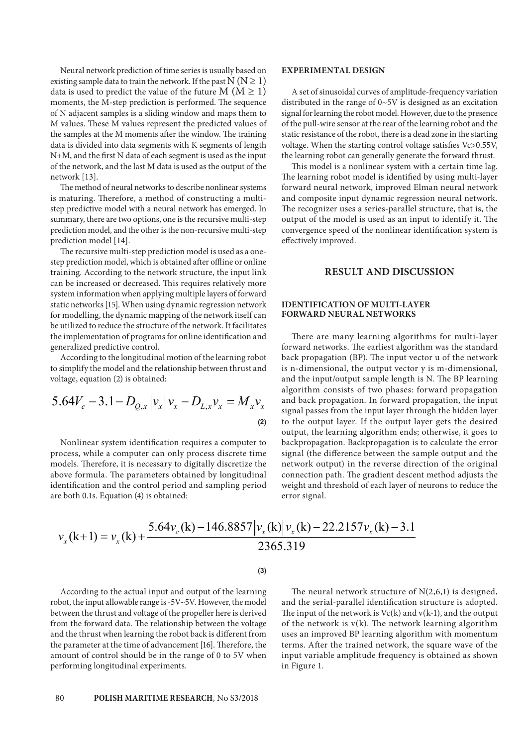Neural network prediction of time series is usually based on existing sample data to train the network. If the past  $N (N \ge 1)$ data is used to predict the value of the future  $M (M \ge 1)$ moments, the M-step prediction is performed. The sequence of N adjacent samples is a sliding window and maps them to M values. These M values represent the predicted values of the samples at the M moments after the window. The training data is divided into data segments with K segments of length N+M, and the first N data of each segment is used as the input of the network, and the last M data is used as the output of the network [13].

The method of neural networks to describe nonlinear systems is maturing. Therefore, a method of constructing a multistep predictive model with a neural network has emerged. In summary, there are two options, one is the recursive multi-step prediction model, and the other is the non-recursive multi-step prediction model [14].

The recursive multi-step prediction model is used as a onestep prediction model, which is obtained after offline or online training. According to the network structure, the input link can be increased or decreased. This requires relatively more system information when applying multiple layers of forward static networks [15]. When using dynamic regression network for modelling, the dynamic mapping of the network itself can be utilized to reduce the structure of the network. It facilitates the implementation of programs for online identification and generalized predictive control.

According to the longitudinal motion of the learning robot to simplify the model and the relationship between thrust and voltage, equation (2) is obtained:

$$
5.64V_c - 3.1 - D_{Q,x} |v_x| v_x - D_{L,x} v_x = M_x v_x
$$
\n(2)

Nonlinear system identification requires a computer to process, while a computer can only process discrete time models. Therefore, it is necessary to digitally discretize the above formula. The parameters obtained by longitudinal identification and the control period and sampling period are both 0.1s. Equation (4) is obtained:

## **EXPERIMENTAL DESIGN**

A set of sinusoidal curves of amplitude-frequency variation distributed in the range of 0~5V is designed as an excitation signal for learning the robot model. However, due to the presence of the pull-wire sensor at the rear of the learning robot and the static resistance of the robot, there is a dead zone in the starting voltage. When the starting control voltage satisfies Vc>0.55V, the learning robot can generally generate the forward thrust.

This model is a nonlinear system with a certain time lag. The learning robot model is identified by using multi-layer forward neural network, improved Elman neural network and composite input dynamic regression neural network. The recognizer uses a series-parallel structure, that is, the output of the model is used as an input to identify it. The convergence speed of the nonlinear identification system is effectively improved.

# **RESULT AND DISCUSSION**

## **IDENTIFICATION OF MULTI-LAYER FORWARD NEURAL NETWORKS**

There are many learning algorithms for multi-layer forward networks. The earliest algorithm was the standard back propagation (BP). The input vector u of the network is n-dimensional, the output vector y is m-dimensional, and the input/output sample length is N. The BP learning algorithm consists of two phases: forward propagation and back propagation. In forward propagation, the input signal passes from the input layer through the hidden layer to the output layer. If the output layer gets the desired output, the learning algorithm ends; otherwise, it goes to backpropagation. Backpropagation is to calculate the error signal (the difference between the sample output and the network output) in the reverse direction of the original connection path. The gradient descent method adjusts the weight and threshold of each layer of neurons to reduce the error signal.

$$
v_x(k+1) = v_x(k) + \frac{5.64v_c(k) - 146.8857 \left| v_x(k) \right| v_x(k) - 22.2157v_x(k) - 3.1}{2365.319}
$$

**(3)**

According to the actual input and output of the learning robot, the input allowable range is -5V~5V. However, the model between the thrust and voltage of the propeller here is derived from the forward data. The relationship between the voltage and the thrust when learning the robot back is different from the parameter at the time of advancement [16]. Therefore, the amount of control should be in the range of 0 to 5V when performing longitudinal experiments.

The neural network structure of N(2,6,1) is designed, and the serial-parallel identification structure is adopted. The input of the network is  $Vc(k)$  and  $v(k-1)$ , and the output of the network is  $v(k)$ . The network learning algorithm uses an improved BP learning algorithm with momentum terms. After the trained network, the square wave of the input variable amplitude frequency is obtained as shown in Figure 1.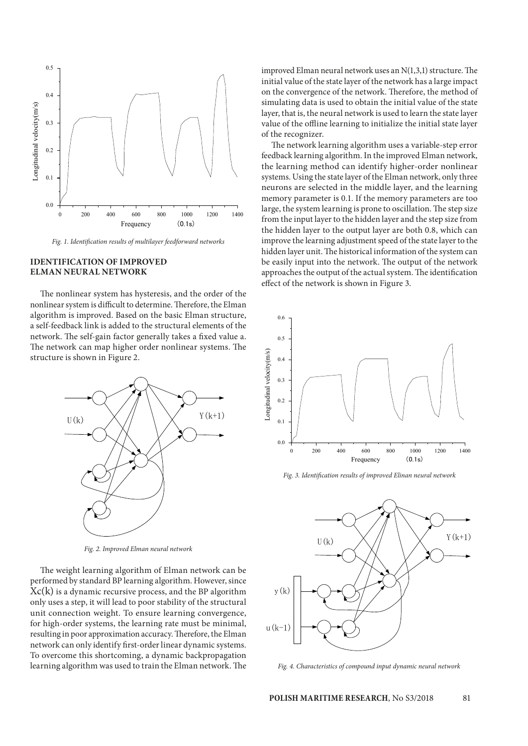

*Fig. 1. Identification results of multilayer feedforward networks*

## **IDENTIFICATION OF IMPROVED ELMAN NEURAL NETWORK**

The nonlinear system has hysteresis, and the order of the nonlinear system is difficult to determine. Therefore, the Elman algorithm is improved. Based on the basic Elman structure, a self-feedback link is added to the structural elements of the network. The self-gain factor generally takes a fixed value a. The network can map higher order nonlinear systems. The structure is shown in Figure 2.



*Fig. 2. Improved Elman neural network*

The weight learning algorithm of Elman network can be performed by standard BP learning algorithm. However, since  $Xc(k)$  is a dynamic recursive process, and the BP algorithm only uses a step, it will lead to poor stability of the structural unit connection weight. To ensure learning convergence, for high-order systems, the learning rate must be minimal, resulting in poor approximation accuracy. Therefore, the Elman network can only identify first-order linear dynamic systems. To overcome this shortcoming, a dynamic backpropagation learning algorithm was used to train the Elman network. The improved Elman neural network uses an N(1,3,1) structure. The initial value of the state layer of the network has a large impact on the convergence of the network. Therefore, the method of simulating data is used to obtain the initial value of the state layer, that is, the neural network is used to learn the state layer value of the offline learning to initialize the initial state layer of the recognizer.

The network learning algorithm uses a variable-step error feedback learning algorithm. In the improved Elman network, the learning method can identify higher-order nonlinear systems. Using the state layer of the Elman network, only three neurons are selected in the middle layer, and the learning memory parameter is 0.1. If the memory parameters are too large, the system learning is prone to oscillation. The step size from the input layer to the hidden layer and the step size from the hidden layer to the output layer are both 0.8, which can improve the learning adjustment speed of the state layer to the hidden layer unit. The historical information of the system can be easily input into the network. The output of the network approaches the output of the actual system. The identification effect of the network is shown in Figure 3.



*Fig. 3. Identification results of improved Elinan neural network*



*Fig. 4. Characteristics of compound input dynamic neural network*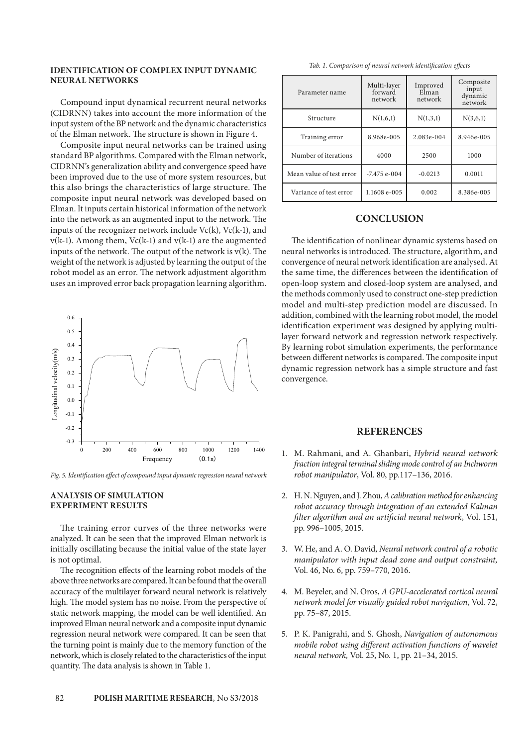## **IDENTIFICATION OF COMPLEX INPUT DYNAMIC NEURAL NETWORKS**

Compound input dynamical recurrent neural networks (CIDRNN) takes into account the more information of the input system of the BP network and the dynamic characteristics of the Elman network. The structure is shown in Figure 4.

Composite input neural networks can be trained using standard BP algorithms. Compared with the Elman network, CIDRNN's generalization ability and convergence speed have been improved due to the use of more system resources, but this also brings the characteristics of large structure. The composite input neural network was developed based on Elman. It inputs certain historical information of the network into the network as an augmented input to the network. The inputs of the recognizer network include Vc(k), Vc(k-1), and  $v(k-1)$ . Among them,  $Vc(k-1)$  and  $v(k-1)$  are the augmented inputs of the network. The output of the network is  $v(k)$ . The weight of the network is adjusted by learning the output of the robot model as an error. The network adjustment algorithm uses an improved error back propagation learning algorithm.



*Fig. 5. Identification effect of compound input dynamic regression neural network*

## **ANALYSIS OF SIMULATION EXPERIMENT RESULTS**

The training error curves of the three networks were analyzed. It can be seen that the improved Elman network is initially oscillating because the initial value of the state layer is not optimal.

The recognition effects of the learning robot models of the above three networks are compared. It can be found that the overall accuracy of the multilayer forward neural network is relatively high. The model system has no noise. From the perspective of static network mapping, the model can be well identified. An improved Elman neural network and a composite input dynamic regression neural network were compared. It can be seen that the turning point is mainly due to the memory function of the network, which is closely related to the characteristics of the input quantity. The data analysis is shown in Table 1.

| Parameter name           | Multi-layer<br>forward<br>network | Improved<br>Elman<br>network | Composite<br>input<br>dynamic<br>network |
|--------------------------|-----------------------------------|------------------------------|------------------------------------------|
| Structure                | N(1,6,1)                          | N(1,3,1)                     | N(3,6,1)                                 |
| Training error           | 8.968e-005                        | 2.083e-004                   | 8.946e-005                               |
| Number of iterations     | 4000                              | 2500                         | 1000                                     |
| Mean value of test error | $-7.475$ e-004                    | $-0.0213$                    | 0.0011                                   |
| Variance of test error   | 1.1608 e-005                      | 0.002                        | 8.386e-005                               |

# **CONCLUSION**

The identification of nonlinear dynamic systems based on neural networks is introduced. The structure, algorithm, and convergence of neural network identification are analysed. At the same time, the differences between the identification of open-loop system and closed-loop system are analysed, and the methods commonly used to construct one-step prediction model and multi-step prediction model are discussed. In addition, combined with the learning robot model, the model identification experiment was designed by applying multilayer forward network and regression network respectively. By learning robot simulation experiments, the performance between different networks is compared. The composite input dynamic regression network has a simple structure and fast convergence.

## **REFERENCES**

- 1. M. Rahmani, and A. Ghanbari, *Hybrid neural network fraction integral terminal sliding mode control of an Inchworm robot manipulator*, Vol. 80, pp.117–136, 2016.
- 2. H. N. Nguyen, and J. Zhou, *A calibration method for enhancing robot accuracy through integration of an extended Kalman filter algorithm and an artificial neural network*, Vol. 151, pp. 996–1005, 2015.
- 3. W. He, and A. O. David, *Neural network control of a robotic manipulator with input dead zone and output constraint,* Vol. 46, No. 6, pp. 759–770, 2016.
- 4. M. Beyeler, and N. Oros, *A GPU-accelerated cortical neural network model for visually guided robot navigation*, Vol. 72, pp. 75–87, 2015.
- 5. P. K. Panigrahi, and S. Ghosh, *Navigation of autonomous mobile robot using different activation functions of wavelet neural network,* Vol. 25, No. 1, pp. 21–34, 2015.